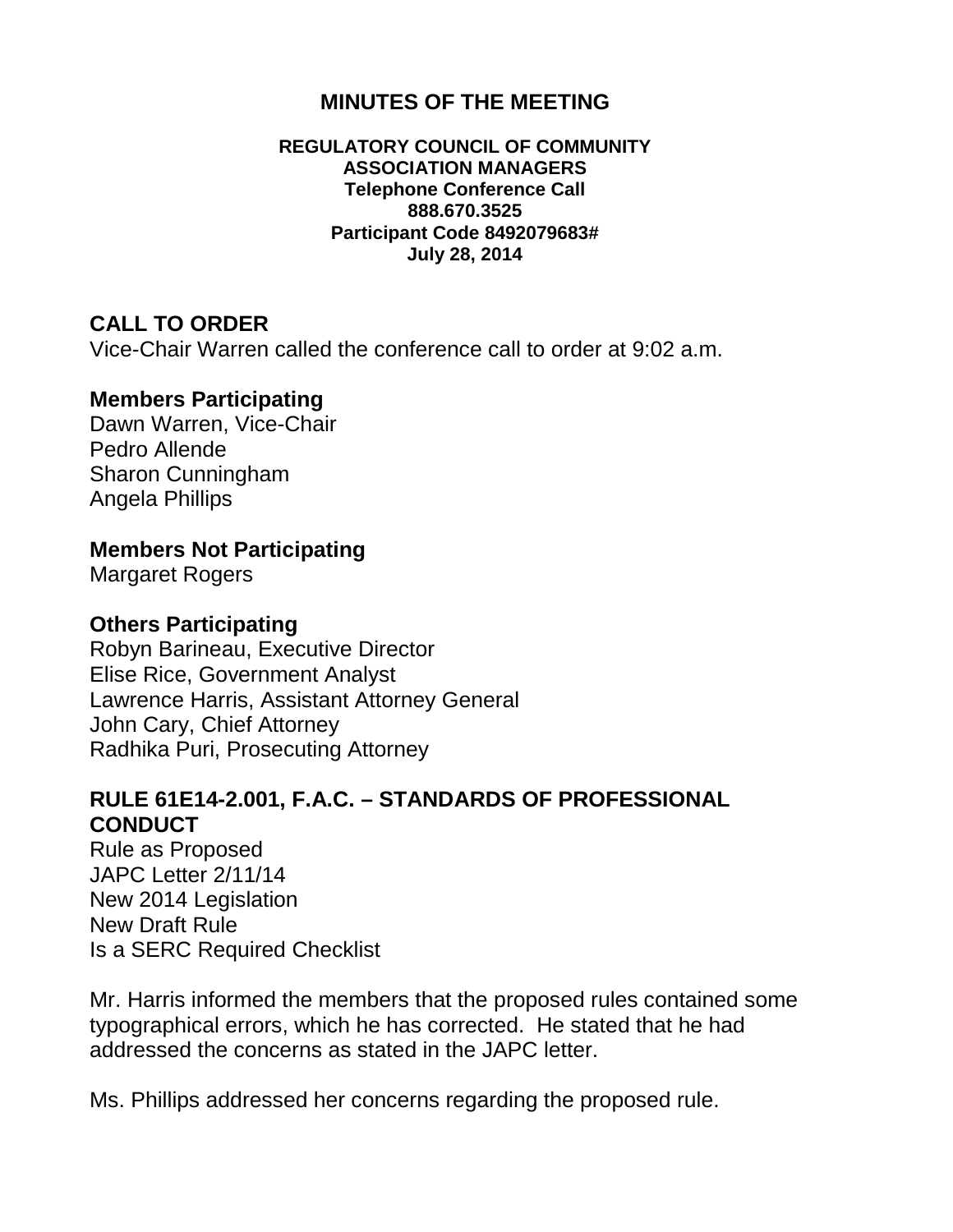## **MINUTES OF THE MEETING**

#### **REGULATORY COUNCIL OF COMMUNITY ASSOCIATION MANAGERS Telephone Conference Call 888.670.3525 Participant Code 8492079683# July 28, 2014**

### **CALL TO ORDER**

Vice-Chair Warren called the conference call to order at 9:02 a.m.

### **Members Participating**

Dawn Warren, Vice-Chair Pedro Allende Sharon Cunningham Angela Phillips

### **Members Not Participating**

Margaret Rogers

#### **Others Participating**

Robyn Barineau, Executive Director Elise Rice, Government Analyst Lawrence Harris, Assistant Attorney General John Cary, Chief Attorney Radhika Puri, Prosecuting Attorney

### **RULE 61E14-2.001, F.A.C. – STANDARDS OF PROFESSIONAL CONDUCT**

Rule as Proposed JAPC Letter 2/11/14 New 2014 Legislation New Draft Rule Is a SERC Required Checklist

Mr. Harris informed the members that the proposed rules contained some typographical errors, which he has corrected. He stated that he had addressed the concerns as stated in the JAPC letter.

Ms. Phillips addressed her concerns regarding the proposed rule.